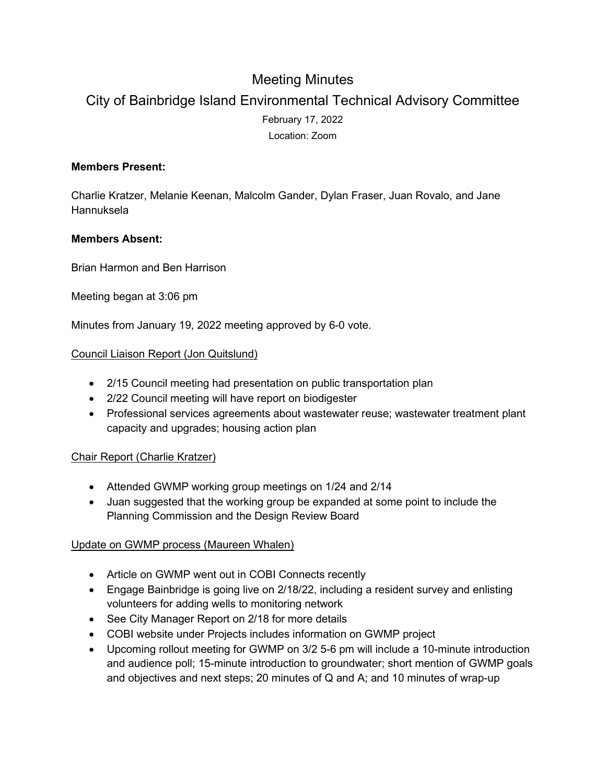# Meeting Minutes

# City of Bainbridge Island Environmental Technical Advisory Committee February 17, 2022 Location: Zoom

## **Members Present:**

Charlie Kratzer, Melanie Keenan, Malcolm Gander, Dylan Fraser, Juan Rovalo, and Jane Hannuksela

### **Members Absent:**

Brian Harmon and Ben Harrison

Meeting began at 3:06 pm

Minutes from January 19, 2022 meeting approved by 6-0 vote.

### Council Liaison Report (Jon Quitslund)

- 2/15 Council meeting had presentation on public transportation plan
- 2/22 Council meeting will have report on biodigester
- Professional services agreements about wastewater reuse; wastewater treatment plant capacity and upgrades; housing action plan

#### Chair Report (Charlie Kratzer)

- Attended GWMP working group meetings on 1/24 and 2/14
- Juan suggested that the working group be expanded at some point to include the Planning Commission and the Design Review Board

#### Update on GWMP process (Maureen Whalen)

- Article on GWMP went out in COBI Connects recently
- Engage Bainbridge is going live on 2/18/22, including a resident survey and enlisting volunteers for adding wells to monitoring network
- See City Manager Report on 2/18 for more details
- COBI website under Projects includes information on GWMP project
- Upcoming rollout meeting for GWMP on 3/2 5-6 pm will include a 10-minute introduction and audience poll; 15-minute introduction to groundwater; short mention of GWMP goals and objectives and next steps; 20 minutes of Q and A; and 10 minutes of wrap-up